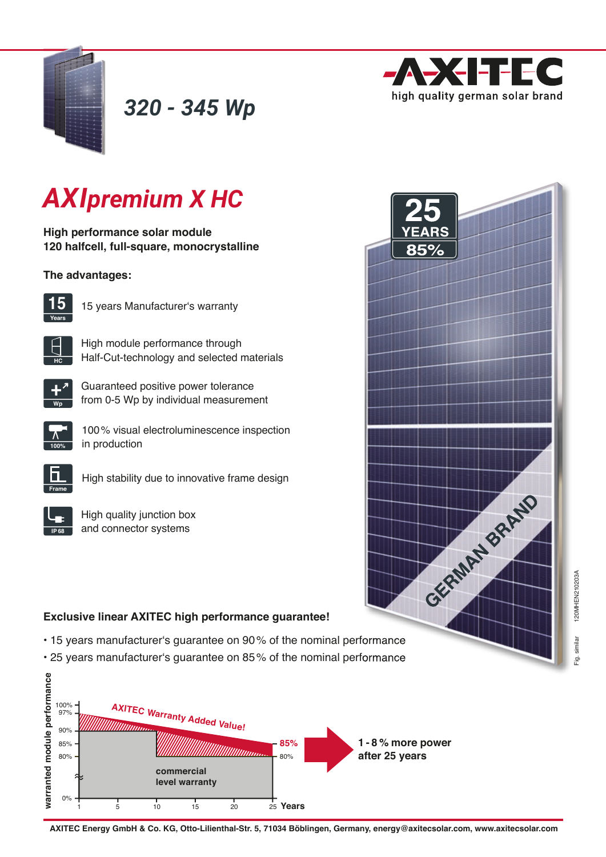



# *AXIpremium X HC*

**High performance solar module 120 halfcell, full-square, monocrystalline**

## **The advantages:**



15 years Manufacturer's warranty

High module performance through Half-Cut-technology and selected materials

*320 - 345 Wp*



**HC**

Guaranteed positive power tolerance from 0-5 Wp by individual measurement



100 % visual electroluminescence inspection in production



High stability due to innovative frame design

High quality junction box and connector systems



# **Exclusive linear AXITEC high performance guarantee!**

- 15 years manufacturer's guarantee on 90% of the nominal performance
- 25 years manufacturer's guarantee on 85% of the nominal performance